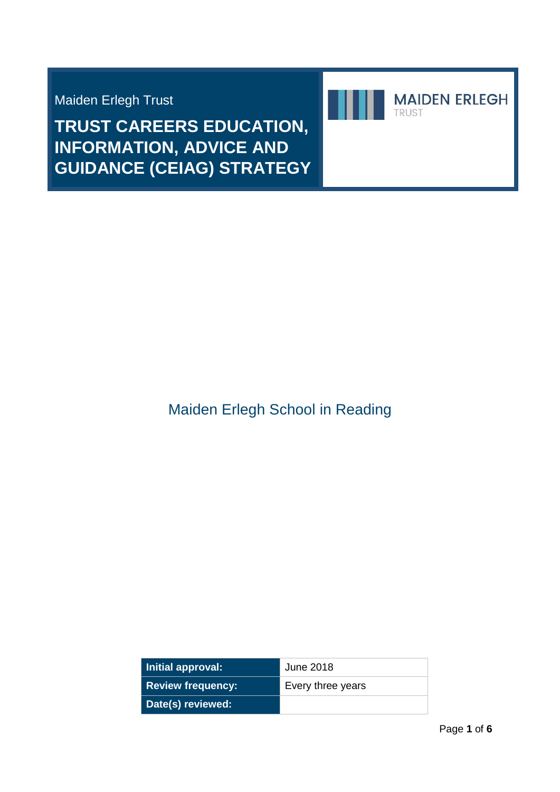Maiden Erlegh Trust

**TRUST CAREERS EDUCATION, INFORMATION, ADVICE AND GUIDANCE (CEIAG) STRATEGY**



| Initial approval:        | June 2018         |
|--------------------------|-------------------|
| <b>Review frequency:</b> | Every three years |
| Date(s) reviewed:        |                   |

**MAIDEN ERLEGH** 

TRUST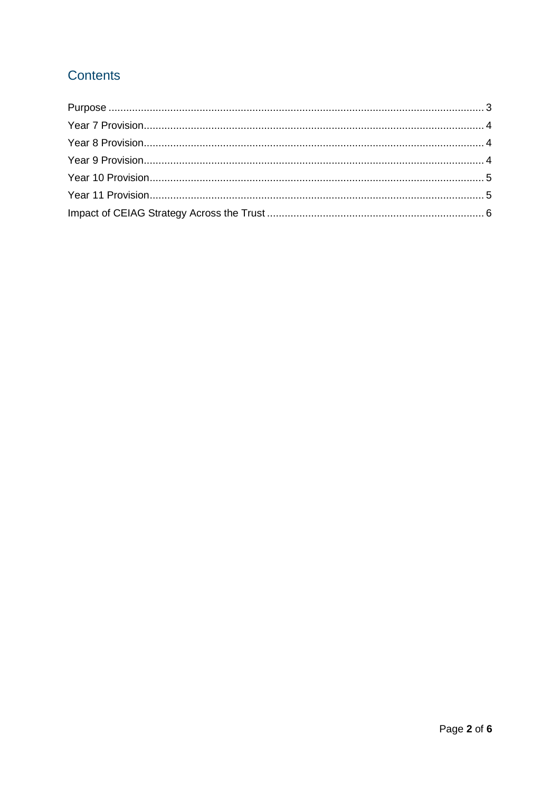# Contents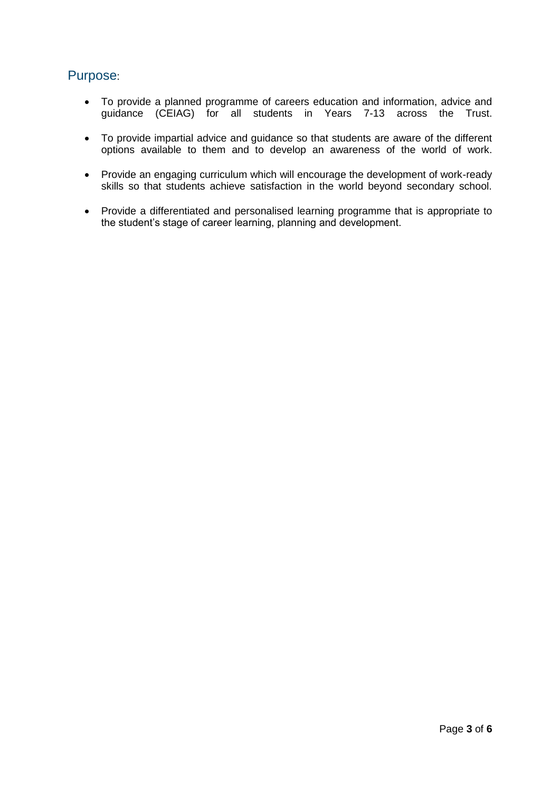## <span id="page-2-0"></span>Purpose:

- To provide a planned programme of careers education and information, advice and guidance (CEIAG) for all students in Years 7-13 across the Trust.
- To provide impartial advice and guidance so that students are aware of the different options available to them and to develop an awareness of the world of work.
- Provide an engaging curriculum which will encourage the development of work-ready skills so that students achieve satisfaction in the world beyond secondary school.
- Provide a differentiated and personalised learning programme that is appropriate to the student's stage of career learning, planning and development.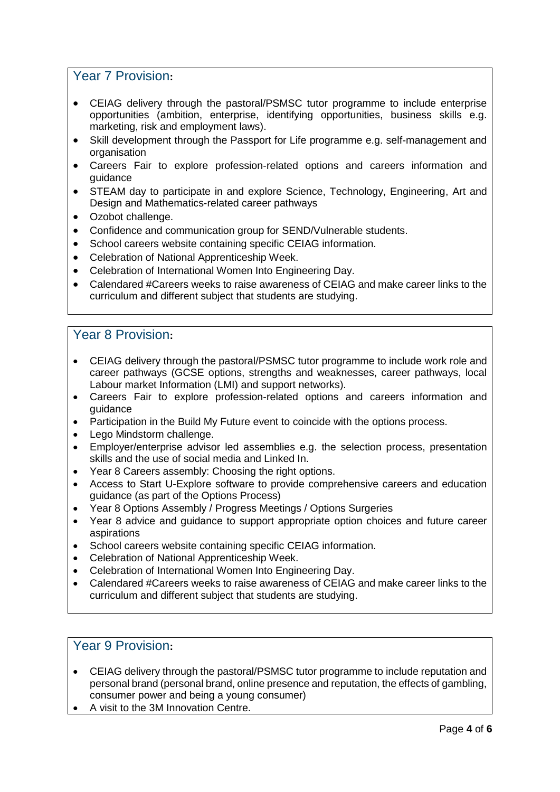### <span id="page-3-0"></span>Year 7 Provision**:**

- CEIAG delivery through the pastoral/PSMSC tutor programme to include enterprise opportunities (ambition, enterprise, identifying opportunities, business skills e.g. marketing, risk and employment laws).
- Skill development through the Passport for Life programme e.g. self-management and organisation
- Careers Fair to explore profession-related options and careers information and guidance
- STEAM day to participate in and explore Science, Technology, Engineering, Art and Design and Mathematics-related career pathways
- Ozobot challenge.
- Confidence and communication group for SEND/Vulnerable students.
- School careers website containing specific CEIAG information.
- Celebration of National Apprenticeship Week.
- Celebration of International Women Into Engineering Day.
- Calendared #Careers weeks to raise awareness of CEIAG and make career links to the curriculum and different subject that students are studying.

#### <span id="page-3-1"></span>Year 8 Provision**:**

- CEIAG delivery through the pastoral/PSMSC tutor programme to include work role and career pathways (GCSE options, strengths and weaknesses, career pathways, local Labour market Information (LMI) and support networks).
- Careers Fair to explore profession-related options and careers information and guidance
- Participation in the Build My Future event to coincide with the options process.
- Lego Mindstorm challenge.
- Employer/enterprise advisor led assemblies e.g. the selection process, presentation skills and the use of social media and Linked In.
- Year 8 Careers assembly: Choosing the right options.
- Access to Start U-Explore software to provide comprehensive careers and education guidance (as part of the Options Process)
- Year 8 Options Assembly / Progress Meetings / Options Surgeries
- Year 8 advice and guidance to support appropriate option choices and future career aspirations
- School careers website containing specific CEIAG information.
- Celebration of National Apprenticeship Week.
- Celebration of International Women Into Engineering Day.
- Calendared #Careers weeks to raise awareness of CEIAG and make career links to the curriculum and different subject that students are studying.

#### <span id="page-3-2"></span>Year 9 Provision**:**

- CEIAG delivery through the pastoral/PSMSC tutor programme to include reputation and personal brand (personal brand, online presence and reputation, the effects of gambling, consumer power and being a young consumer)
- A visit to the 3M Innovation Centre.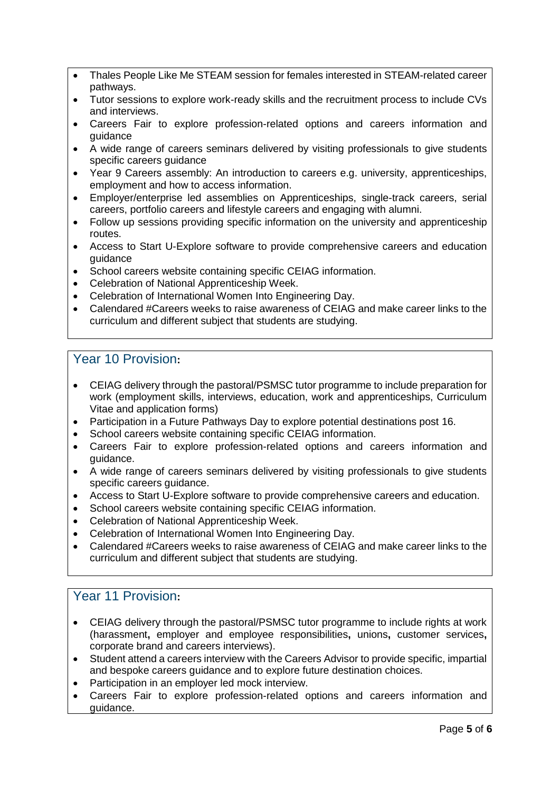- Thales People Like Me STEAM session for females interested in STEAM-related career pathways.
- Tutor sessions to explore work-ready skills and the recruitment process to include CVs and interviews.
- Careers Fair to explore profession-related options and careers information and guidance
- A wide range of careers seminars delivered by visiting professionals to give students specific careers guidance
- Year 9 Careers assembly: An introduction to careers e.g. university, apprenticeships, employment and how to access information.
- Employer/enterprise led assemblies on Apprenticeships, single-track careers, serial careers, portfolio careers and lifestyle careers and engaging with alumni.
- Follow up sessions providing specific information on the university and apprenticeship routes.
- Access to Start U-Explore software to provide comprehensive careers and education guidance
- School careers website containing specific CEIAG information.
- Celebration of National Apprenticeship Week.
- Celebration of International Women Into Engineering Day.
- Calendared #Careers weeks to raise awareness of CEIAG and make career links to the curriculum and different subject that students are studying.

#### <span id="page-4-0"></span>Year 10 Provision**:**

- CEIAG delivery through the pastoral/PSMSC tutor programme to include preparation for work (employment skills, interviews, education, work and apprenticeships, Curriculum Vitae and application forms)
- Participation in a Future Pathways Day to explore potential destinations post 16.
- School careers website containing specific CEIAG information.
- Careers Fair to explore profession-related options and careers information and guidance.
- A wide range of careers seminars delivered by visiting professionals to give students specific careers guidance.
- Access to Start U-Explore software to provide comprehensive careers and education.
- School careers website containing specific CEIAG information.
- Celebration of National Apprenticeship Week.
- Celebration of International Women Into Engineering Day.
- Calendared #Careers weeks to raise awareness of CEIAG and make career links to the curriculum and different subject that students are studying.

# <span id="page-4-1"></span>Year 11 Provision**:**

- CEIAG delivery through the pastoral/PSMSC tutor programme to include rights at work (harassment**,** employer and employee responsibilities**,** unions**,** customer services**,**  corporate brand and careers interviews).
- Student attend a careers interview with the Careers Advisor to provide specific, impartial and bespoke careers guidance and to explore future destination choices.
- Participation in an employer led mock interview.
- Careers Fair to explore profession-related options and careers information and guidance.